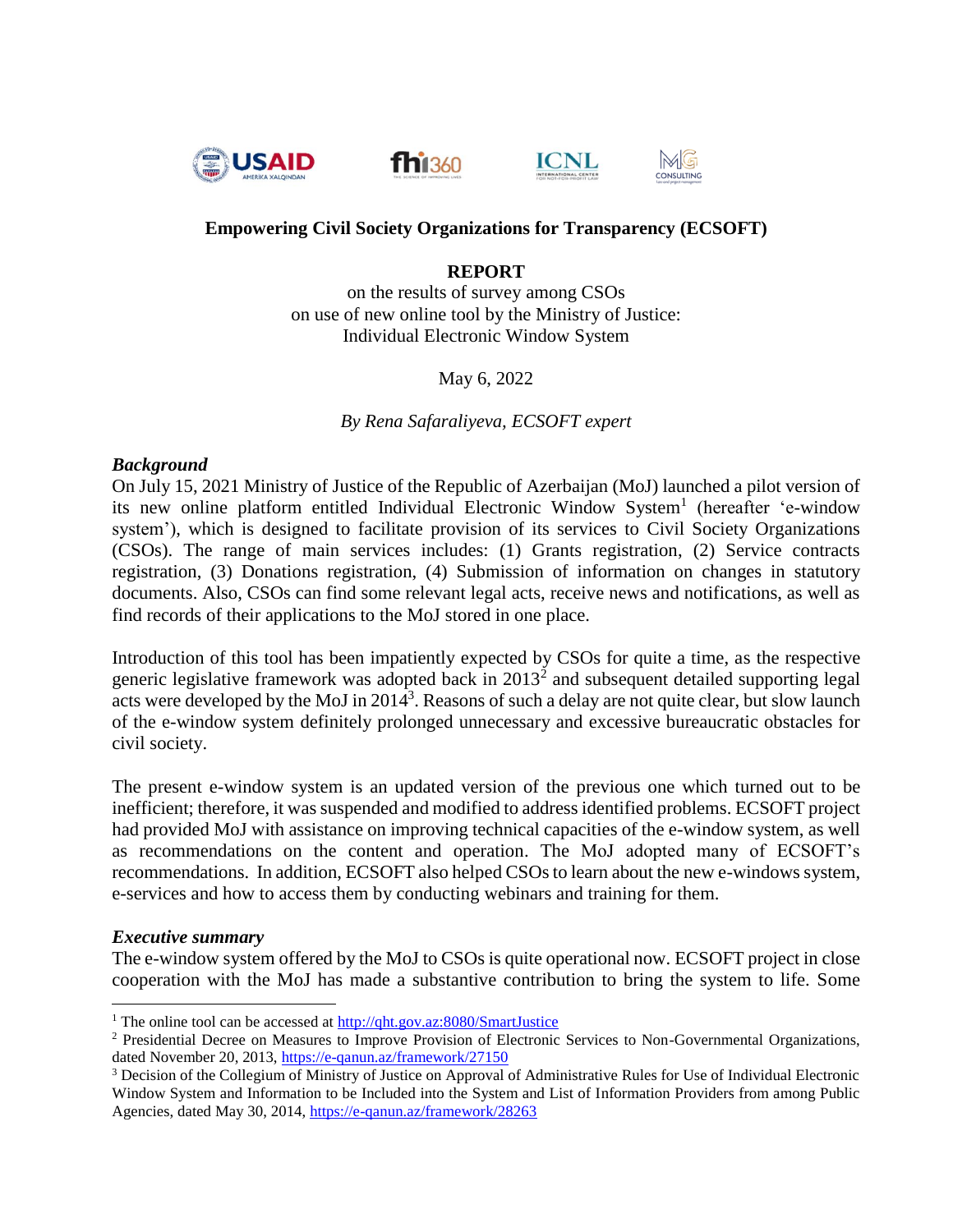







MG

CONSULTING

# **Empowering Civil Society Organizations for Transparency (ECSOFT)**

#### **REPORT**

on the results of survey among CSOs on use of new online tool by the Ministry of Justice: Individual Electronic Window System

May 6, 2022

*By Rena Safaraliyeva, ECSOFT expert*

#### *Background*

On July 15, 2021 Ministry of Justice of the Republic of Azerbaijan (MoJ) launched a pilot version of its new online platform entitled Individual Electronic Window System<sup>1</sup> (hereafter 'e-window system'), which is designed to facilitate provision of its services to Civil Society Organizations (CSOs). The range of main services includes: (1) Grants registration, (2) Service contracts registration, (3) Donations registration, (4) Submission of information on changes in statutory documents. Also, CSOs can find some relevant legal acts, receive news and notifications, as well as find records of their applications to the MoJ stored in one place.

Introduction of this tool has been impatiently expected by CSOs for quite a time, as the respective generic legislative framework was adopted back in  $2013<sup>2</sup>$  and subsequent detailed supporting legal acts were developed by the MoJ in 2014<sup>3</sup>. Reasons of such a delay are not quite clear, but slow launch of the e-window system definitely prolonged unnecessary and excessive bureaucratic obstacles for civil society.

The present e-window system is an updated version of the previous one which turned out to be inefficient; therefore, it was suspended and modified to address identified problems. ECSOFT project had provided MoJ with assistance on improving technical capacities of the e-window system, as well as recommendations on the content and operation. The MoJ adopted many of ECSOFT's recommendations. In addition, ECSOFT also helped CSOs to learn about the new e-windows system, e-services and how to access them by conducting webinars and training for them.

#### *Executive summary*

 $\overline{a}$ 

The e-window system offered by the MoJ to CSOs is quite operational now. ECSOFT project in close cooperation with the MoJ has made a substantive contribution to bring the system to life. Some

<sup>&</sup>lt;sup>1</sup> The online tool can be accessed at [http://qht.gov.az:8080/SmartJustice](http://qht.gov.az/#:8080/SmartJustice)

<sup>2</sup> Presidential Decree on Measures to Improve Provision of Electronic Services to Non-Governmental Organizations, dated November 20, 2013,<https://e-qanun.az/framework/27150>

<sup>3</sup> Decision of the Collegium of Ministry of Justice on Approval of Administrative Rules for Use of Individual Electronic Window System and Information to be Included into the System and List of Information Providers from among Public Agencies, dated May 30, 2014,<https://e-qanun.az/framework/28263>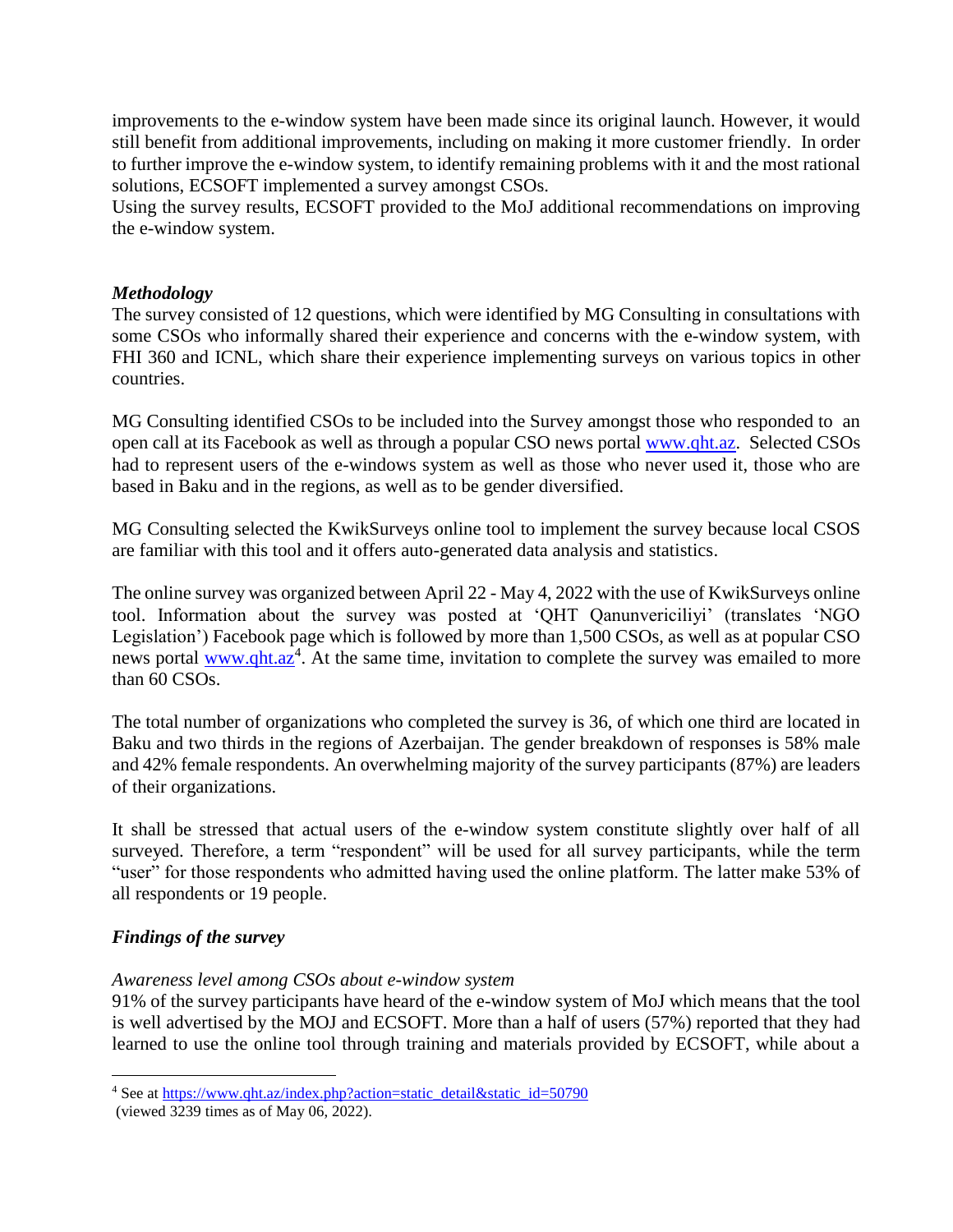improvements to the e-window system have been made since its original launch. However, it would still benefit from additional improvements, including on making it more customer friendly. In order to further improve the e-window system, to identify remaining problems with it and the most rational solutions, ECSOFT implemented a survey amongst CSOs.

Using the survey results, ECSOFT provided to the MoJ additional recommendations on improving the e-window system.

#### *Methodology*

The survey consisted of 12 questions, which were identified by MG Consulting in consultations with some CSOs who informally shared their experience and concerns with the e-window system, with FHI 360 and ICNL, which share their experience implementing surveys on various topics in other countries.

MG Consulting identified CSOs to be included into the Survey amongst those who responded to an open call at its Facebook as well as through a popular CSO news porta[l www.qht.az.](http://www.qht.az/) Selected CSOs had to represent users of the e-windows system as well as those who never used it, those who are based in Baku and in the regions, as well as to be gender diversified.

MG Consulting selected the KwikSurveys online tool to implement the survey because local CSOS are familiar with this tool and it offers auto-generated data analysis and statistics.

The online survey was organized between April 22 - May 4, 2022 with the use of KwikSurveys online tool. Information about the survey was posted at 'QHT Qanunvericiliyi' (translates 'NGO Legislation') Facebook page which is followed by more than 1,500 CSOs, as well as at popular CSO news portal **www.qht.az**<sup>4</sup>. At the same time, invitation to complete the survey was emailed to more than 60 CSOs.

The total number of organizations who completed the survey is 36, of which one third are located in Baku and two thirds in the regions of Azerbaijan. The gender breakdown of responses is 58% male and 42% female respondents. An overwhelming majority of the survey participants (87%) are leaders of their organizations.

It shall be stressed that actual users of the e-window system constitute slightly over half of all surveyed. Therefore, a term "respondent" will be used for all survey participants, while the term "user" for those respondents who admitted having used the online platform. The latter make 53% of all respondents or 19 people.

## *Findings of the survey*

 $\overline{a}$ 

#### *Awareness level among CSOs about e-window system*

91% of the survey participants have heard of the e-window system of MoJ which means that the tool is well advertised by the MOJ and ECSOFT. More than a half of users (57%) reported that they had learned to use the online tool through training and materials provided by ECSOFT, while about a

<sup>&</sup>lt;sup>4</sup> See at [https://www.qht.az/index.php?action=static\\_detail&static\\_id=50790](https://www.qht.az/index.php?action=static_detail&static_id=50790)

<sup>(</sup>viewed 3239 times as of May 06, 2022).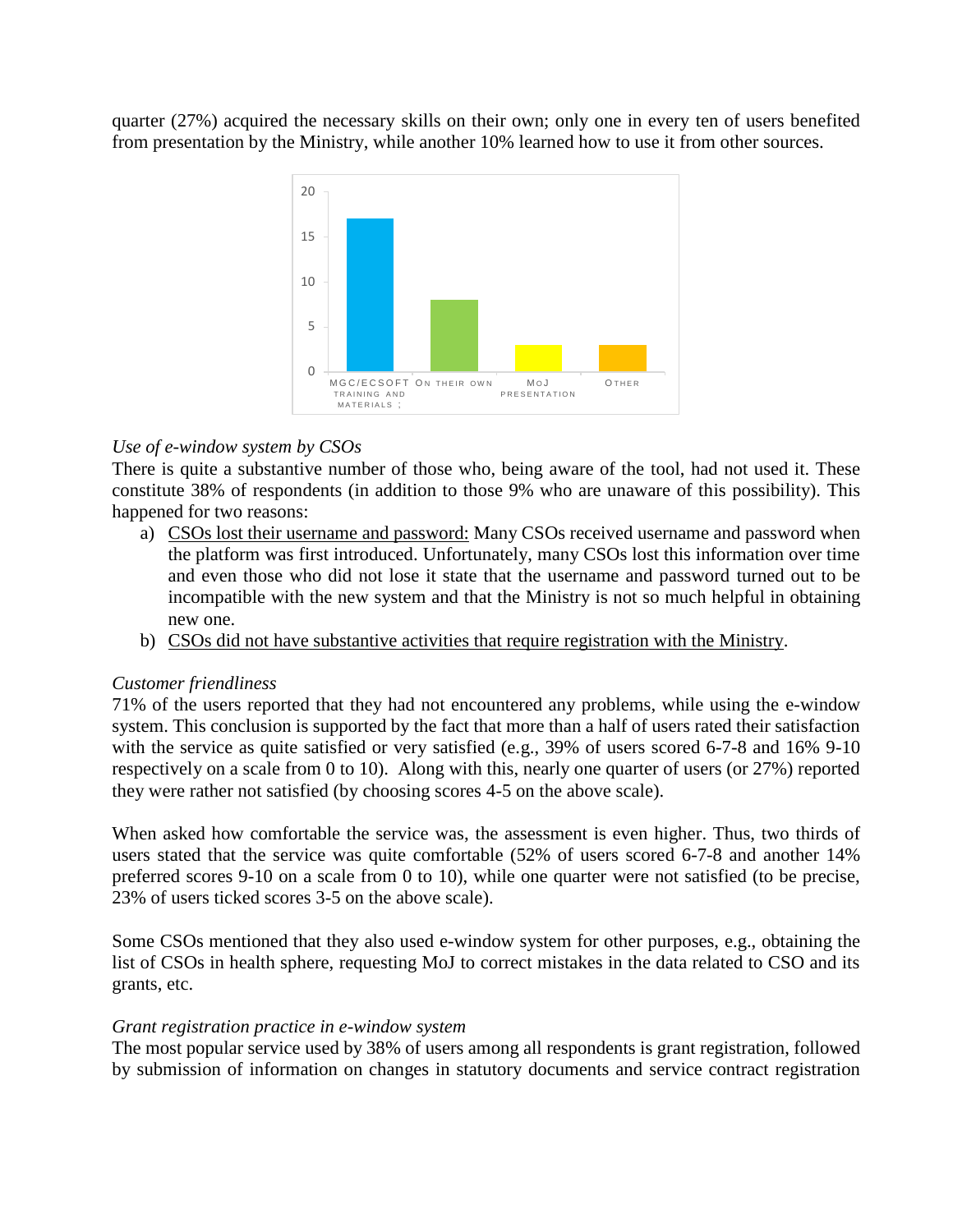quarter (27%) acquired the necessary skills on their own; only one in every ten of users benefited from presentation by the Ministry, while another 10% learned how to use it from other sources.



## *Use of e-window system by CSOs*

There is quite a substantive number of those who, being aware of the tool, had not used it. These constitute 38% of respondents (in addition to those 9% who are unaware of this possibility). This happened for two reasons:

- a) CSOs lost their username and password: Many CSOs received username and password when the platform was first introduced. Unfortunately, many CSOs lost this information over time and even those who did not lose it state that the username and password turned out to be incompatible with the new system and that the Ministry is not so much helpful in obtaining new one.
- b) CSOs did not have substantive activities that require registration with the Ministry.

## *Customer friendliness*

71% of the users reported that they had not encountered any problems, while using the e-window system. This conclusion is supported by the fact that more than a half of users rated their satisfaction with the service as quite satisfied or very satisfied (e.g., 39% of users scored 6-7-8 and 16% 9-10 respectively on a scale from 0 to 10). Along with this, nearly one quarter of users (or 27%) reported they were rather not satisfied (by choosing scores 4-5 on the above scale).

When asked how comfortable the service was, the assessment is even higher. Thus, two thirds of users stated that the service was quite comfortable (52% of users scored 6-7-8 and another 14% preferred scores 9-10 on a scale from 0 to 10), while one quarter were not satisfied (to be precise, 23% of users ticked scores 3-5 on the above scale).

Some CSOs mentioned that they also used e-window system for other purposes, e.g., obtaining the list of CSOs in health sphere, requesting MoJ to correct mistakes in the data related to CSO and its grants, etc.

## *Grant registration practice in e-window system*

The most popular service used by 38% of users among all respondents is grant registration, followed by submission of information on changes in statutory documents and service contract registration